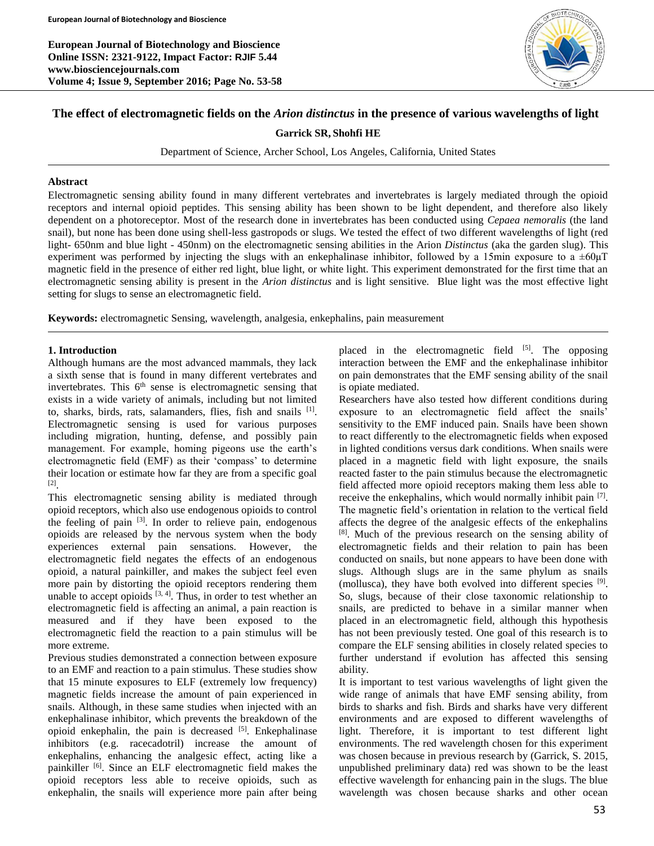**European Journal of Biotechnology and Bioscience Online ISSN: 2321-9122, Impact Factor: RJIF 5.44 www.biosciencejournals.com Volume 4; Issue 9, September 2016; Page No. 53-58**



# **The effect of electromagnetic fields on the** *Arion distinctus* **in the presence of various wavelengths of light**

**Garrick SR, Shohfi HE**

Department of Science, Archer School, Los Angeles, California, United States

#### **Abstract**

Electromagnetic sensing ability found in many different vertebrates and invertebrates is largely mediated through the opioid receptors and internal opioid peptides. This sensing ability has been shown to be light dependent, and therefore also likely dependent on a photoreceptor. Most of the research done in invertebrates has been conducted using *Cepaea nemoralis* (the land snail), but none has been done using shell-less gastropods or slugs. We tested the effect of two different wavelengths of light (red light- 650nm and blue light - 450nm) on the electromagnetic sensing abilities in the Arion *Distinctus* (aka the garden slug). This experiment was performed by injecting the slugs with an enkephalinase inhibitor, followed by a 15min exposure to a  $\pm 60 \mu$ T magnetic field in the presence of either red light, blue light, or white light. This experiment demonstrated for the first time that an electromagnetic sensing ability is present in the *Arion distinctus* and is light sensitive*.* Blue light was the most effective light setting for slugs to sense an electromagnetic field.

**Keywords:** electromagnetic Sensing, wavelength, analgesia, enkephalins, pain measurement

#### **1. Introduction**

Although humans are the most advanced mammals, they lack a sixth sense that is found in many different vertebrates and invertebrates. This 6<sup>th</sup> sense is electromagnetic sensing that exists in a wide variety of animals, including but not limited to, sharks, birds, rats, salamanders, flies, fish and snails [1]. Electromagnetic sensing is used for various purposes including migration, hunting, defense, and possibly pain management. For example, homing pigeons use the earth's electromagnetic field (EMF) as their 'compass' to determine their location or estimate how far they are from a specific goal [2] .

This electromagnetic sensing ability is mediated through opioid receptors, which also use endogenous opioids to control the feeling of pain  $[3]$ . In order to relieve pain, endogenous opioids are released by the nervous system when the body experiences external pain sensations. However, the electromagnetic field negates the effects of an endogenous opioid, a natural painkiller, and makes the subject feel even more pain by distorting the opioid receptors rendering them unable to accept opioids  $[3, 4]$ . Thus, in order to test whether an electromagnetic field is affecting an animal, a pain reaction is measured and if they have been exposed to the electromagnetic field the reaction to a pain stimulus will be more extreme.

Previous studies demonstrated a connection between exposure to an EMF and reaction to a pain stimulus. These studies show that 15 minute exposures to ELF (extremely low frequency) magnetic fields increase the amount of pain experienced in snails. Although, in these same studies when injected with an enkephalinase inhibitor, which prevents the breakdown of the opioid enkephalin, the pain is decreased  $[5]$ . Enkephalinase inhibitors (e.g. racecadotril) increase the amount of enkephalins, enhancing the analgesic effect, acting like a painkiller [6]. Since an ELF electromagnetic field makes the opioid receptors less able to receive opioids, such as enkephalin, the snails will experience more pain after being

placed in the electromagnetic field [5]. The opposing interaction between the EMF and the enkephalinase inhibitor on pain demonstrates that the EMF sensing ability of the snail is opiate mediated.

Researchers have also tested how different conditions during exposure to an electromagnetic field affect the snails' sensitivity to the EMF induced pain. Snails have been shown to react differently to the electromagnetic fields when exposed in lighted conditions versus dark conditions. When snails were placed in a magnetic field with light exposure, the snails reacted faster to the pain stimulus because the electromagnetic field affected more opioid receptors making them less able to receive the enkephalins, which would normally inhibit pain [7]. The magnetic field's orientation in relation to the vertical field affects the degree of the analgesic effects of the enkephalins [8]. Much of the previous research on the sensing ability of electromagnetic fields and their relation to pain has been conducted on snails, but none appears to have been done with slugs. Although slugs are in the same phylum as snails (mollusca), they have both evolved into different species [9]. So, slugs, because of their close taxonomic relationship to snails, are predicted to behave in a similar manner when placed in an electromagnetic field, although this hypothesis has not been previously tested. One goal of this research is to compare the ELF sensing abilities in closely related species to further understand if evolution has affected this sensing ability.

It is important to test various wavelengths of light given the wide range of animals that have EMF sensing ability, from birds to sharks and fish. Birds and sharks have very different environments and are exposed to different wavelengths of light. Therefore, it is important to test different light environments. The red wavelength chosen for this experiment was chosen because in previous research by (Garrick, S. 2015, unpublished preliminary data) red was shown to be the least effective wavelength for enhancing pain in the slugs. The blue wavelength was chosen because sharks and other ocean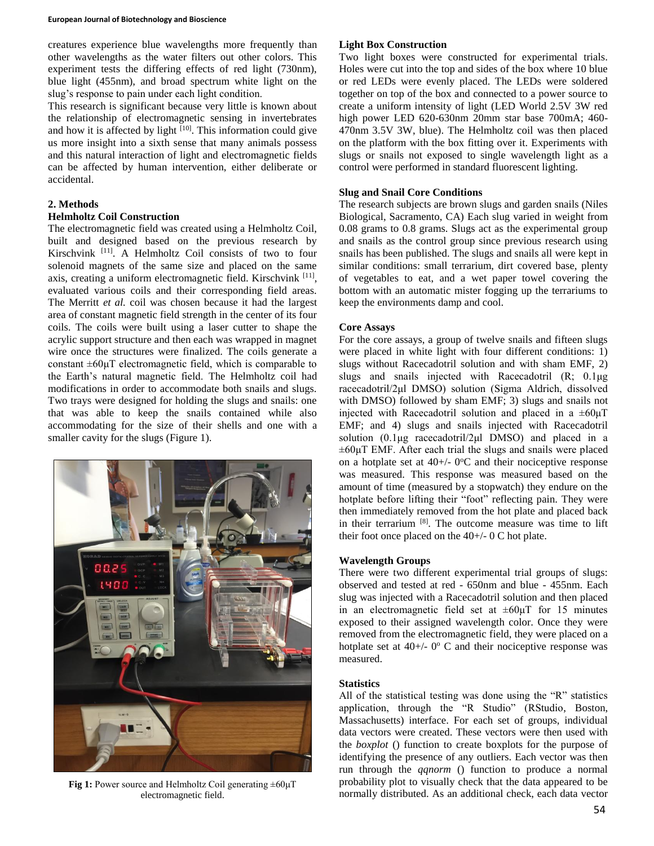#### **European Journal of Biotechnology and Bioscience**

creatures experience blue wavelengths more frequently than other wavelengths as the water filters out other colors. This experiment tests the differing effects of red light (730nm), blue light (455nm), and broad spectrum white light on the slug's response to pain under each light condition.

This research is significant because very little is known about the relationship of electromagnetic sensing in invertebrates and how it is affected by light  $[10]$ . This information could give us more insight into a sixth sense that many animals possess and this natural interaction of light and electromagnetic fields can be affected by human intervention, either deliberate or accidental.

#### **2. Methods**

## **Helmholtz Coil Construction**

The electromagnetic field was created using a Helmholtz Coil, built and designed based on the previous research by Kirschvink [11] . A Helmholtz Coil consists of two to four solenoid magnets of the same size and placed on the same axis, creating a uniform electromagnetic field. Kirschvink [11], evaluated various coils and their corresponding field areas. The Merritt *et al.* coil was chosen because it had the largest area of constant magnetic field strength in the center of its four coils. The coils were built using a laser cutter to shape the acrylic support structure and then each was wrapped in magnet wire once the structures were finalized. The coils generate a constant ±60μT electromagnetic field, which is comparable to the Earth's natural magnetic field. The Helmholtz coil had modifications in order to accommodate both snails and slugs. Two trays were designed for holding the slugs and snails: one that was able to keep the snails contained while also accommodating for the size of their shells and one with a smaller cavity for the slugs (Figure 1).



**Fig 1:** Power source and Helmholtz Coil generating ±60μT electromagnetic field.

# **Light Box Construction**

Two light boxes were constructed for experimental trials. Holes were cut into the top and sides of the box where 10 blue or red LEDs were evenly placed. The LEDs were soldered together on top of the box and connected to a power source to create a uniform intensity of light (LED World 2.5V 3W red high power LED 620-630nm 20mm star base 700mA; 460- 470nm 3.5V 3W, blue). The Helmholtz coil was then placed on the platform with the box fitting over it. Experiments with slugs or snails not exposed to single wavelength light as a control were performed in standard fluorescent lighting.

## **Slug and Snail Core Conditions**

The research subjects are brown slugs and garden snails (Niles Biological, Sacramento, CA) Each slug varied in weight from 0.08 grams to 0.8 grams. Slugs act as the experimental group and snails as the control group since previous research using snails has been published. The slugs and snails all were kept in similar conditions: small terrarium, dirt covered base, plenty of vegetables to eat, and a wet paper towel covering the bottom with an automatic mister fogging up the terrariums to keep the environments damp and cool.

## **Core Assays**

For the core assays, a group of twelve snails and fifteen slugs were placed in white light with four different conditions: 1) slugs without Racecadotril solution and with sham EMF, 2) slugs and snails injected with Racecadotril (R; 0.1μg racecadotril/2μl DMSO) solution (Sigma Aldrich, dissolved with DMSO) followed by sham EMF; 3) slugs and snails not injected with Racecadotril solution and placed in a  $\pm 60 \mu T$ EMF; and 4) slugs and snails injected with Racecadotril solution (0.1μg racecadotril/2μl DMSO) and placed in a  $\pm 60 \mu$ T EMF. After each trial the slugs and snails were placed on a hotplate set at  $40 +/- 0$ <sup>o</sup>C and their nociceptive response was measured. This response was measured based on the amount of time (measured by a stopwatch) they endure on the hotplate before lifting their "foot" reflecting pain. They were then immediately removed from the hot plate and placed back in their terrarium [8] . The outcome measure was time to lift their foot once placed on the  $40+/- 0$  C hot plate.

#### **Wavelength Groups**

There were two different experimental trial groups of slugs: observed and tested at red - 650nm and blue - 455nm. Each slug was injected with a Racecadotril solution and then placed in an electromagnetic field set at  $\pm 60 \mu$ T for 15 minutes exposed to their assigned wavelength color. Once they were removed from the electromagnetic field, they were placed on a hotplate set at  $40 +/- 0$ <sup>o</sup> C and their nociceptive response was measured.

#### **Statistics**

All of the statistical testing was done using the "R" statistics application, through the "R Studio" (RStudio, Boston, Massachusetts) interface. For each set of groups, individual data vectors were created. These vectors were then used with the *boxplot* () function to create boxplots for the purpose of identifying the presence of any outliers. Each vector was then run through the *qqnorm* () function to produce a normal probability plot to visually check that the data appeared to be normally distributed. As an additional check, each data vector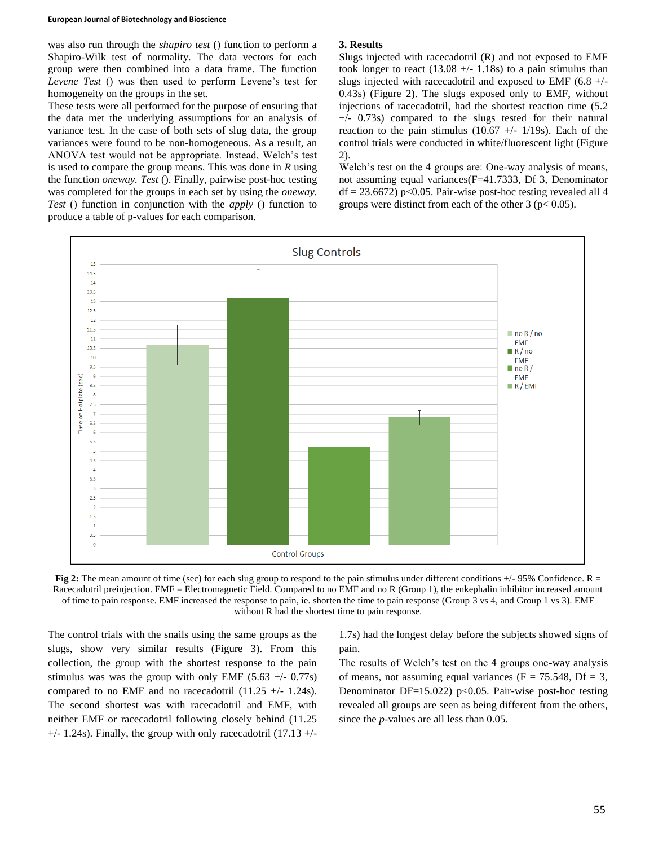#### **European Journal of Biotechnology and Bioscience**

was also run through the *shapiro test* () function to perform a Shapiro-Wilk test of normality. The data vectors for each group were then combined into a data frame. The function *Levene Test* () was then used to perform Levene's test for homogeneity on the groups in the set.

These tests were all performed for the purpose of ensuring that the data met the underlying assumptions for an analysis of variance test. In the case of both sets of slug data, the group variances were found to be non-homogeneous. As a result, an ANOVA test would not be appropriate. Instead, Welch's test is used to compare the group means. This was done in *R* using the function *oneway. Test* (). Finally, pairwise post-hoc testing was completed for the groups in each set by using the *oneway. Test* () function in conjunction with the *apply* () function to produce a table of p-values for each comparison.

#### **3. Results**

Slugs injected with racecadotril (R) and not exposed to EMF took longer to react  $(13.08 + -1.18s)$  to a pain stimulus than slugs injected with racecadotril and exposed to EMF (6.8 +/- 0.43s) (Figure 2). The slugs exposed only to EMF, without injections of racecadotril, had the shortest reaction time (5.2 +/- 0.73s) compared to the slugs tested for their natural reaction to the pain stimulus (10.67  $+/-$  1/19s). Each of the control trials were conducted in white/fluorescent light (Figure 2).

Welch's test on the 4 groups are: One-way analysis of means, not assuming equal variances(F=41.7333, Df 3, Denominator  $df = 23.6672$ ) p<0.05. Pair-wise post-hoc testing revealed all 4 groups were distinct from each of the other  $3 (p < 0.05)$ .



**Fig 2:** The mean amount of time (sec) for each slug group to respond to the pain stimulus under different conditions  $+/-95\%$  Confidence. R = Racecadotril preinjection. EMF = Electromagnetic Field. Compared to no EMF and no R (Group 1), the enkephalin inhibitor increased amount of time to pain response. EMF increased the response to pain, ie. shorten the time to pain response (Group 3 vs 4, and Group 1 vs 3). EMF without R had the shortest time to pain response.

The control trials with the snails using the same groups as the slugs, show very similar results (Figure 3). From this collection, the group with the shortest response to the pain stimulus was was the group with only EMF  $(5.63 +/- 0.77s)$ compared to no EMF and no racecadotril  $(11.25 +/- 1.24s)$ . The second shortest was with racecadotril and EMF, with neither EMF or racecadotril following closely behind (11.25  $+/- 1.24$ s). Finally, the group with only racecadotril (17.13  $+/-$ 

1.7s) had the longest delay before the subjects showed signs of pain.

The results of Welch's test on the 4 groups one-way analysis of means, not assuming equal variances ( $F = 75.548$ , Df = 3, Denominator DF=15.022) p<0.05. Pair-wise post-hoc testing revealed all groups are seen as being different from the others, since the *p*-values are all less than 0.05.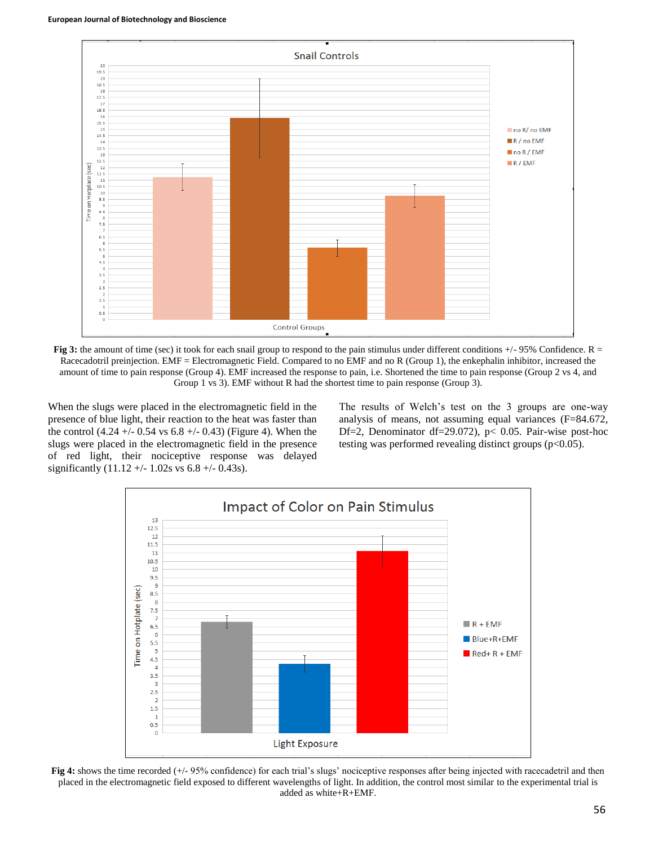

**Fig 3:** the amount of time (sec) it took for each snail group to respond to the pain stimulus under different conditions  $+/-95\%$  Confidence. R = Racecadotril preinjection. EMF = Electromagnetic Field. Compared to no EMF and no R (Group 1), the enkephalin inhibitor, increased the amount of time to pain response (Group 4). EMF increased the response to pain, i.e. Shortened the time to pain response (Group 2 vs 4, and Group 1 vs 3). EMF without R had the shortest time to pain response (Group 3).

When the slugs were placed in the electromagnetic field in the presence of blue light, their reaction to the heat was faster than the control  $(4.24 +/- 0.54 \text{ vs } 6.8 +/- 0.43)$  (Figure 4). When the slugs were placed in the electromagnetic field in the presence of red light, their nociceptive response was delayed significantly  $(11.12 + - 1.02s \text{ vs } 6.8 + - 0.43s)$ .

The results of Welch's test on the 3 groups are one-way analysis of means, not assuming equal variances (F=84.672, Df=2, Denominator df=29.072), p< 0.05. Pair-wise post-hoc testing was performed revealing distinct groups (p<0.05).



**Fig 4:** shows the time recorded (+/- 95% confidence) for each trial's slugs' nociceptive responses after being injected with racecadetril and then placed in the electromagnetic field exposed to different wavelengths of light. In addition, the control most similar to the experimental trial is added as white+R+EMF.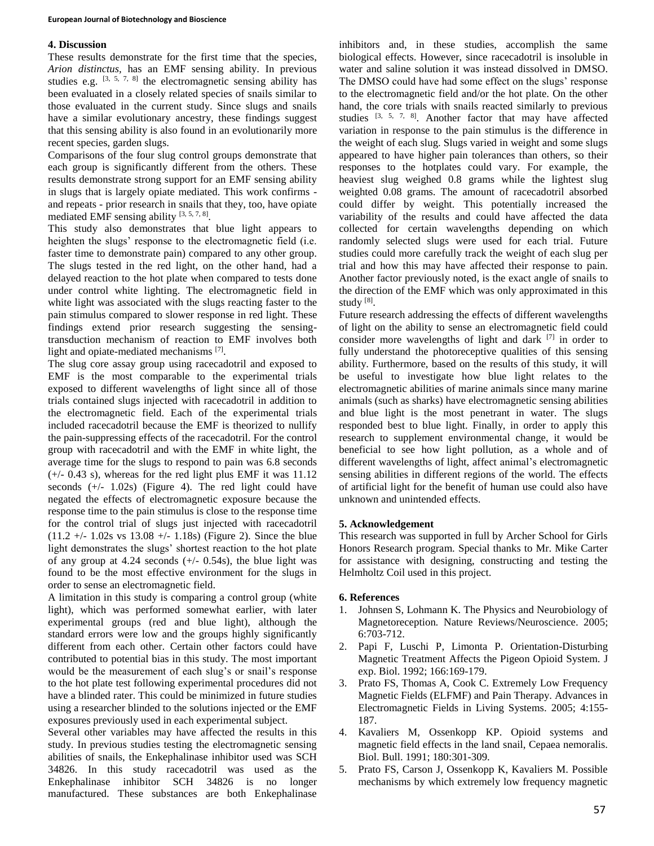# **4. Discussion**

These results demonstrate for the first time that the species, *Arion distinctus,* has an EMF sensing ability. In previous studies e.g.  $[3, 5, 7, 8]$  the electromagnetic sensing ability has been evaluated in a closely related species of snails similar to those evaluated in the current study. Since slugs and snails have a similar evolutionary ancestry, these findings suggest that this sensing ability is also found in an evolutionarily more recent species, garden slugs.

Comparisons of the four slug control groups demonstrate that each group is significantly different from the others. These results demonstrate strong support for an EMF sensing ability in slugs that is largely opiate mediated. This work confirms and repeats - prior research in snails that they, too, have opiate mediated EMF sensing ability  $[3, 5, 7, 8]$ .

This study also demonstrates that blue light appears to heighten the slugs' response to the electromagnetic field (i.e. faster time to demonstrate pain) compared to any other group. The slugs tested in the red light, on the other hand, had a delayed reaction to the hot plate when compared to tests done under control white lighting. The electromagnetic field in white light was associated with the slugs reacting faster to the pain stimulus compared to slower response in red light. These findings extend prior research suggesting the sensingtransduction mechanism of reaction to EMF involves both light and opiate-mediated mechanisms [7].

The slug core assay group using racecadotril and exposed to EMF is the most comparable to the experimental trials exposed to different wavelengths of light since all of those trials contained slugs injected with racecadotril in addition to the electromagnetic field. Each of the experimental trials included racecadotril because the EMF is theorized to nullify the pain-suppressing effects of the racecadotril. For the control group with racecadotril and with the EMF in white light, the average time for the slugs to respond to pain was 6.8 seconds (+/- 0.43 s), whereas for the red light plus EMF it was 11.12 seconds (+/- 1.02s) (Figure 4). The red light could have negated the effects of electromagnetic exposure because the response time to the pain stimulus is close to the response time for the control trial of slugs just injected with racecadotril  $(11.2 +/- 1.02s$  vs  $13.08 +/- 1.18s)$  (Figure 2). Since the blue light demonstrates the slugs' shortest reaction to the hot plate of any group at 4.24 seconds  $(+/- 0.54s)$ , the blue light was found to be the most effective environment for the slugs in order to sense an electromagnetic field.

A limitation in this study is comparing a control group (white light), which was performed somewhat earlier, with later experimental groups (red and blue light), although the standard errors were low and the groups highly significantly different from each other. Certain other factors could have contributed to potential bias in this study. The most important would be the measurement of each slug's or snail's response to the hot plate test following experimental procedures did not have a blinded rater. This could be minimized in future studies using a researcher blinded to the solutions injected or the EMF exposures previously used in each experimental subject.

Several other variables may have affected the results in this study. In previous studies testing the electromagnetic sensing abilities of snails, the Enkephalinase inhibitor used was SCH 34826. In this study racecadotril was used as the Enkephalinase inhibitor SCH 34826 is no longer manufactured. These substances are both Enkephalinase

inhibitors and, in these studies, accomplish the same biological effects. However, since racecadotril is insoluble in water and saline solution it was instead dissolved in DMSO. The DMSO could have had some effect on the slugs' response to the electromagnetic field and/or the hot plate. On the other hand, the core trials with snails reacted similarly to previous studies  $[3, 5, 7, 8]$ . Another factor that may have affected variation in response to the pain stimulus is the difference in the weight of each slug. Slugs varied in weight and some slugs appeared to have higher pain tolerances than others, so their responses to the hotplates could vary. For example, the heaviest slug weighed 0.8 grams while the lightest slug weighted 0.08 grams. The amount of racecadotril absorbed could differ by weight. This potentially increased the variability of the results and could have affected the data collected for certain wavelengths depending on which randomly selected slugs were used for each trial. Future studies could more carefully track the weight of each slug per trial and how this may have affected their response to pain. Another factor previously noted, is the exact angle of snails to the direction of the EMF which was only approximated in this study [8].

Future research addressing the effects of different wavelengths of light on the ability to sense an electromagnetic field could consider more wavelengths of light and dark <sup>[7]</sup> in order to fully understand the photoreceptive qualities of this sensing ability. Furthermore, based on the results of this study, it will be useful to investigate how blue light relates to the electromagnetic abilities of marine animals since many marine animals (such as sharks) have electromagnetic sensing abilities and blue light is the most penetrant in water. The slugs responded best to blue light. Finally, in order to apply this research to supplement environmental change, it would be beneficial to see how light pollution, as a whole and of different wavelengths of light, affect animal's electromagnetic sensing abilities in different regions of the world. The effects of artificial light for the benefit of human use could also have unknown and unintended effects.

# **5. Acknowledgement**

This research was supported in full by Archer School for Girls Honors Research program. Special thanks to Mr. Mike Carter for assistance with designing, constructing and testing the Helmholtz Coil used in this project.

# **6. References**

- 1. Johnsen S, Lohmann K. The Physics and Neurobiology of Magnetoreception*.* Nature Reviews/Neuroscience. 2005; 6:703-712.
- 2. Papi F, Luschi P, Limonta P. Orientation-Disturbing Magnetic Treatment Affects the Pigeon Opioid System. J exp. Biol. 1992; 166:169-179.
- 3. Prato FS, Thomas A, Cook C. Extremely Low Frequency Magnetic Fields (ELFMF) and Pain Therapy. Advances in Electromagnetic Fields in Living Systems. 2005; 4:155- 187.
- 4. Kavaliers M, Ossenkopp KP. Opioid systems and magnetic field effects in the land snail, Cepaea nemoralis. Biol. Bull. 1991; 180:301-309.
- 5. Prato FS, Carson J, Ossenkopp K, Kavaliers M. Possible mechanisms by which extremely low frequency magnetic